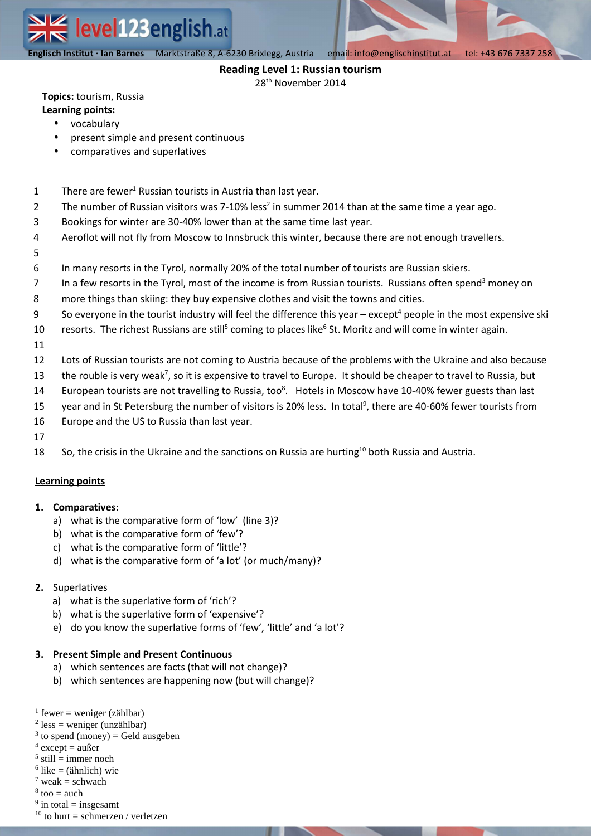**Englisch Institut · Ian Barnes** Marktstraße 8, A-6230 Brixlegg, Austria email: info@englischinstitut.at tel: +43 676 7337 258

### **Reading Level 1: Russian tourism**

28th November 2014

**Topics:** tourism, Russia **Learning points:**

# • vocabulary

- present simple and present continuous
- comparatives and superlatives
- 1 There are fewer<sup>1</sup> Russian tourists in Austria than last year.
- 2 The number of Russian visitors was 7-10% less<sup>2</sup> in summer 2014 than at the same time a year ago.
- 3 Bookings for winter are 30-40% lower than at the same time last year.
- 4 Aeroflot will not fly from Moscow to Innsbruck this winter, because there are not enough travellers.
- 5
- 6 In many resorts in the Tyrol, normally 20% of the total number of tourists are Russian skiers.
- 7 In a few resorts in the Tyrol, most of the income is from Russian tourists. Russians often spend<sup>3</sup> money on
- 8 more things than skiing: they buy expensive clothes and visit the towns and cities.
- 9 So everyone in the tourist industry will feel the difference this year  $-$  except<sup>4</sup> people in the most expensive ski
- 10 resorts. The richest Russians are still<sup>5</sup> coming to places like<sup>6</sup> St. Moritz and will come in winter again.
- 11
- 12 Lots of Russian tourists are not coming to Austria because of the problems with the Ukraine and also because
- 13 the rouble is very weak<sup>7</sup>, so it is expensive to travel to Europe. It should be cheaper to travel to Russia, but
- 14 European tourists are not travelling to Russia, too<sup>8</sup>. Hotels in Moscow have 10-40% fewer guests than last
- 15 year and in St Petersburg the number of visitors is 20% less. In total<sup>9</sup>, there are 40-60% fewer tourists from
- 16 Europe and the US to Russia than last year.
- 17
- 18 So, the crisis in the Ukraine and the sanctions on Russia are hurting<sup>10</sup> both Russia and Austria.

# **Learning points**

### **1. Comparatives:**

- a) what is the comparative form of 'low' (line 3)?
- b) what is the comparative form of 'few'?
- c) what is the comparative form of 'little'?
- d) what is the comparative form of 'a lot' (or much/many)?

### **2.** Superlatives

- a) what is the superlative form of 'rich'?
- b) what is the superlative form of 'expensive'?
- e) do you know the superlative forms of 'few', 'little' and 'a lot'?

### **3. Present Simple and Present Continuous**

- a) which sentences are facts (that will not change)?
- b) which sentences are happening now (but will change)?

- $3$  to spend (money) = Geld ausgeben
- $4$  except = außer

 $\overline{a}$ 

- $5$  still = immer noch
- $6$  like = (ähnlich) wie
- $7$  weak = schwach
- $8 \text{ too} = \text{auch}$

 $<sup>1</sup>$  fewer = weniger (zählbar)</sup>

 $2$  less = weniger (unzählbar)

 $9$  in total = insgesamt

 $10$  to hurt = schmerzen / verletzen